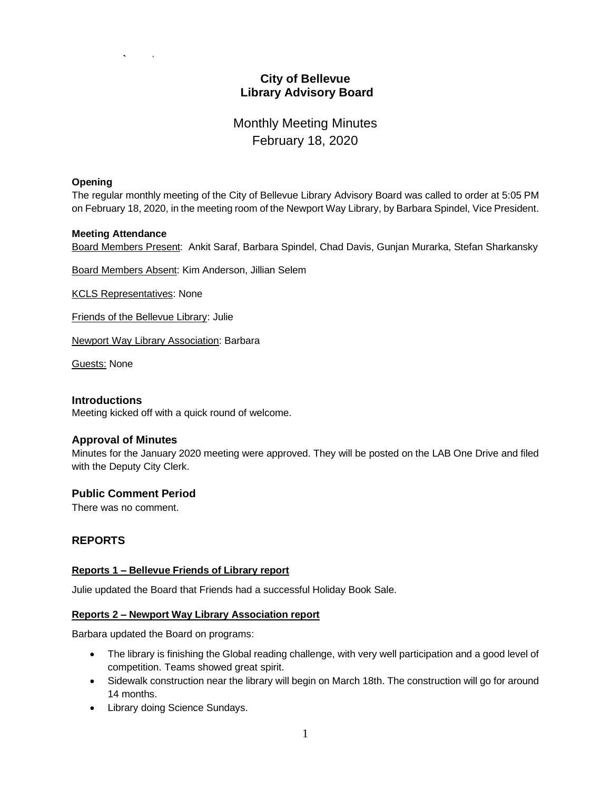## **City of Bellevue Library Advisory Board**

# Monthly Meeting Minutes February 18, 2020

#### **Opening**

The regular monthly meeting of the City of Bellevue Library Advisory Board was called to order at 5:05 PM on February 18, 2020, in the meeting room of the Newport Way Library, by Barbara Spindel, Vice President.

#### **Meeting Attendance**

Board Members Present: Ankit Saraf, Barbara Spindel, Chad Davis, Gunjan Murarka, Stefan Sharkansky

Board Members Absent: Kim Anderson, Jillian Selem

KCLS Representatives: None

Friends of the Bellevue Library: Julie

Newport Way Library Association: Barbara

Guests: None

#### **Introductions**

Meeting kicked off with a quick round of welcome.

#### **Approval of Minutes**

Minutes for the January 2020 meeting were approved. They will be posted on the LAB One Drive and filed with the Deputy City Clerk.

#### **Public Comment Period**

There was no comment.

## **REPORTS**

#### **Reports 1 – Bellevue Friends of Library report**

Julie updated the Board that Friends had a successful Holiday Book Sale.

#### **Reports 2 – Newport Way Library Association report**

Barbara updated the Board on programs:

- The library is finishing the Global reading challenge, with very well participation and a good level of competition. Teams showed great spirit.
- Sidewalk construction near the library will begin on March 18th. The construction will go for around 14 months.
- Library doing Science Sundays.